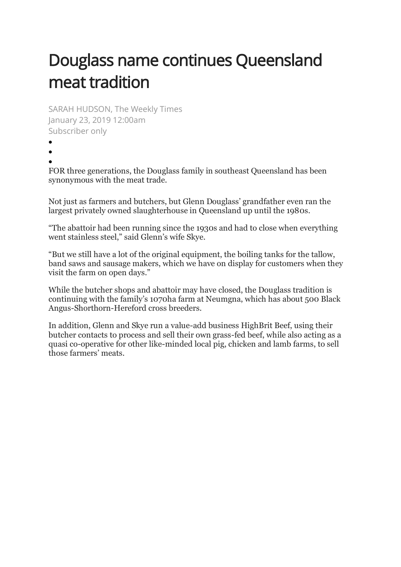## Douglass name continues Queensland meat tradition

SARAH HUDSON, The Weekly Times January 23, 2019 12:00am Subscriber only

- •
- •

FOR three generations, the Douglass family in southeast Queensland has been synonymous with the meat trade.

Not just as farmers and butchers, but Glenn Douglass' grandfather even ran the largest privately owned slaughterhouse in Queensland up until the 1980s.

"The abattoir had been running since the 1930s and had to close when everything went stainless steel," said Glenn's wife Skye.

"But we still have a lot of the original equipment, the boiling tanks for the tallow, band saws and sausage makers, which we have on display for customers when they visit the farm on open days."

While the butcher shops and abattoir may have closed, the Douglass tradition is continuing with the family's 1070ha farm at Neumgna, which has about 500 Black Angus-Shorthorn-Hereford cross breeders.

In addition, Glenn and Skye run a value-add business HighBrit Beef, using their butcher contacts to process and sell their own grass-fed beef, while also acting as a quasi co-operative for other like-minded local pig, chicken and lamb farms, to sell those farmers' meats.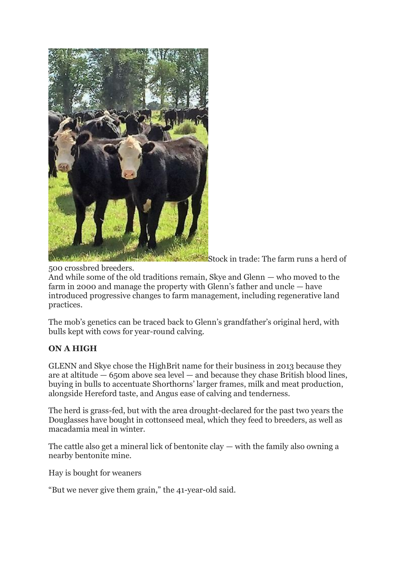

Stock in trade: The farm runs a herd of

500 crossbred breeders.

And while some of the old traditions remain, Skye and Glenn — who moved to the farm in 2000 and manage the property with Glenn's father and uncle — have introduced progressive changes to farm management, including regenerative land practices.

The mob's genetics can be traced back to Glenn's grandfather's original herd, with bulls kept with cows for year-round calving.

## **ON A HIGH**

GLENN and Skye chose the HighBrit name for their business in 2013 because they are at altitude  $-65$ om above sea level  $-$  and because they chase British blood lines, buying in bulls to accentuate Shorthorns' larger frames, milk and meat production, alongside Hereford taste, and Angus ease of calving and tenderness.

The herd is grass-fed, but with the area drought-declared for the past two years the Douglasses have bought in cottonseed meal, which they feed to breeders, as well as macadamia meal in winter.

The cattle also get a mineral lick of bentonite clay  $-$  with the family also owning a nearby bentonite mine.

Hay is bought for weaners

"But we never give them grain," the 41-year-old said.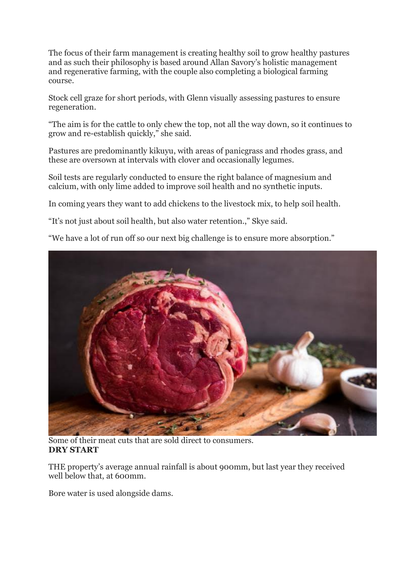The focus of their farm management is creating healthy soil to grow healthy pastures and as such their philosophy is based around Allan Savory's holistic management and regenerative farming, with the couple also completing a biological farming course.

Stock cell graze for short periods, with Glenn visually assessing pastures to ensure regeneration.

"The aim is for the cattle to only chew the top, not all the way down, so it continues to grow and re-establish quickly," she said.

Pastures are predominantly kikuyu, with areas of panicgrass and rhodes grass, and these are oversown at intervals with clover and occasionally legumes.

Soil tests are regularly conducted to ensure the right balance of magnesium and calcium, with only lime added to improve soil health and no synthetic inputs.

In coming years they want to add chickens to the livestock mix, to help soil health.

"It's not just about soil health, but also water retention.," Skye said.

"We have a lot of run off so our next big challenge is to ensure more absorption."



Some of their meat cuts that are sold direct to consumers. **DRY START**

THE property's average annual rainfall is about 900mm, but last year they received well below that, at 600mm.

Bore water is used alongside dams.